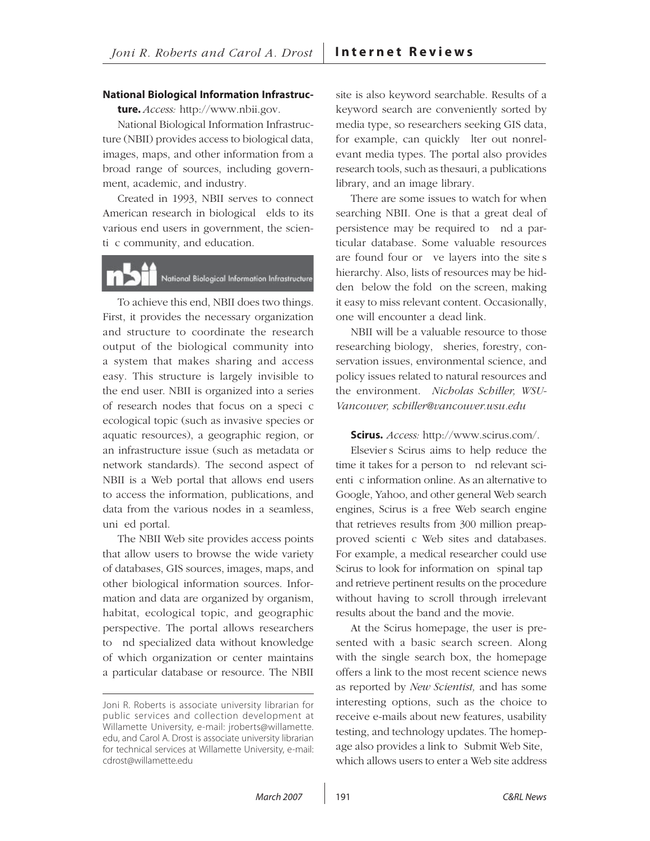**National Biological Information Infrastruc-ture.** *Access:* http://www.nbii.gov.

National Biological Information Infrastructure (NBII) provides access to biological data, images, maps, and other information from a broad range of sources, including government, academic, and industry.

Created in 1993, NBII serves to connect American research in biological elds to its various end users in government, the scienti c community, and education.

# National Biological Information Infrastructure

To achieve this end, NBII does two things. First, it provides the necessary organization and structure to coordinate the research output of the biological community into a system that makes sharing and access easy. This structure is largely invisible to the end user. NBII is organized into a series of research nodes that focus on a specic ecological topic (such as invasive species or aquatic resources), a geographic region, or an infrastructure issue (such as metadata or network standards). The second aspect of NBII is a Web portal that allows end users to access the information, publications, and data from the various nodes in a seamless, uni ed portal.

The NBII Web site provides access points that allow users to browse the wide variety of databases, GIS sources, images, maps, and other biological information sources. Information and data are organized by organism, habitat, ecological topic, and geographic perspective. The portal allows researchers to nd specialized data without knowledge of which organization or center maintains a particular database or resource. The NBII

site is also keyword searchable. Results of a keyword search are conveniently sorted by media type, so researchers seeking GIS data, for example, can quickly lter out nonrelevant media types. The portal also provides research tools, such as thesauri, a publications library, and an image library.

There are some issues to watch for when searching NBII. One is that a great deal of persistence may be required to nd a particular database. Some valuable resources are found four or ve layers into the site s hierarchy. Also, lists of resources may be hidden below the fold on the screen, making it easy to miss relevant content. Occasionally, one will encounter a dead link.

NBII will be a valuable resource to those researching biology, sheries, forestry, conservation issues, environmental science, and policy issues related to natural resources and the environment.—*Nicholas Schiller, WSU-Vancouver, schiller@vancouver.wsu.edu* 

#### **Scirus.** *Access:* http://www.scirus.com/.

Elsevier's Scirus aims to help reduce the time it takes for a person to nd relevant scienti c information online. As an alternative to Google, Yahoo, and other general Web search engines, Scirus is a free Web search engine that retrieves results from 300 million preapproved scienti c Web sites and databases. For example, a medical researcher could use Scirus to look for information on spinal tap and retrieve pertinent results on the procedure without having to scroll through irrelevant results about the band and the movie.

At the Scirus homepage, the user is presented with a basic search screen. Along with the single search box, the homepage offers a link to the most recent science news as reported by *New Scientist,* and has some interesting options, such as the choice to receive emails about new features, usability testing, and technology updates. The homepage also provides a link to Submit Web Site, which allows users to enter a Web site address

Joni R. Roberts is associate university librarian for public services and collection development at Willamette University, e-mail: jroberts@willamette. edu, and Carol A. Drost is associate university librarian for technical services at Willamette University, e-mail: cdrost@willamette.edu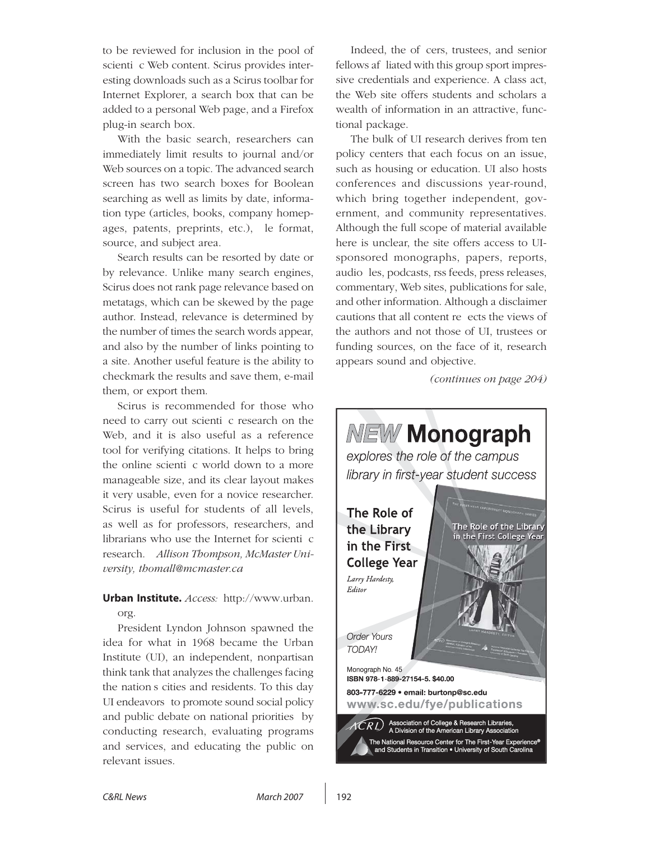to be reviewed for inclusion in the pool of scienti c Web content. Scirus provides interesting downloads such as a Scirus toolbar for Internet Explorer, a search box that can be added to a personal Web page, and a Firefox plug-in search box.

With the basic search, researchers can immediately limit results to journal and/or Web sources on a topic. The advanced search screen has two search boxes for Boolean searching as well as limits by date, information type (articles, books, company homepages, patents, preprints, etc.), le format, source, and subject area.

Search results can be resorted by date or by relevance. Unlike many search engines, Scirus does not rank page relevance based on metatags, which can be skewed by the page author. Instead, relevance is determined by the number of times the search words appear, and also by the number of links pointing to a site. Another useful feature is the ability to checkmark the results and save them, e-mail them, or export them.

Scirus is recommended for those who need to carry out scienti c research on the Web, and it is also useful as a reference tool for verifying citations. It helps to bring the online scienti c world down to a more manageable size, and its clear layout makes it very usable, even for a novice researcher. Scirus is useful for students of all levels, as well as for professors, researchers, and librarians who use the Internet for scienti $\epsilon$ research.—*Allison Thompson, McMaster University, thomall@mcmaster.ca* 

### **Urban Institute.** *Access:* http://www.urban. org.

President Lyndon Johnson spawned the idea for what in 1968 became the Urban Institute (UI), an independent, nonpartisan think tank that analyzes the challenges facing the nation's cities and residents. To this day UI endeavors to promote sound social policy and public debate on national priorities" by conducting research, evaluating programs and services, and educating the public on relevant issues.

Indeed, the of cers, trustees, and senior fellows af liated with this group sport impressive credentials and experience. A class act, the Web site offers students and scholars a wealth of information in an attractive, functional package.

The bulk of UI research derives from ten policy centers that each focus on an issue, such as housing or education. UI also hosts conferences and discussions year-round, which bring together independent, government, and community representatives. Although the full scope of material available here is unclear, the site offers access to UIsponsored monographs, papers, reports, audio les, podcasts, rss feeds, press releases, commentary, Web sites, publications for sale, and other information. Although a disclaimer cautions that all content re ects the views of the authors and not those of UI, trustees or funding sources, on the face of it, research appears sound and objective.

*(continues on page 204)*